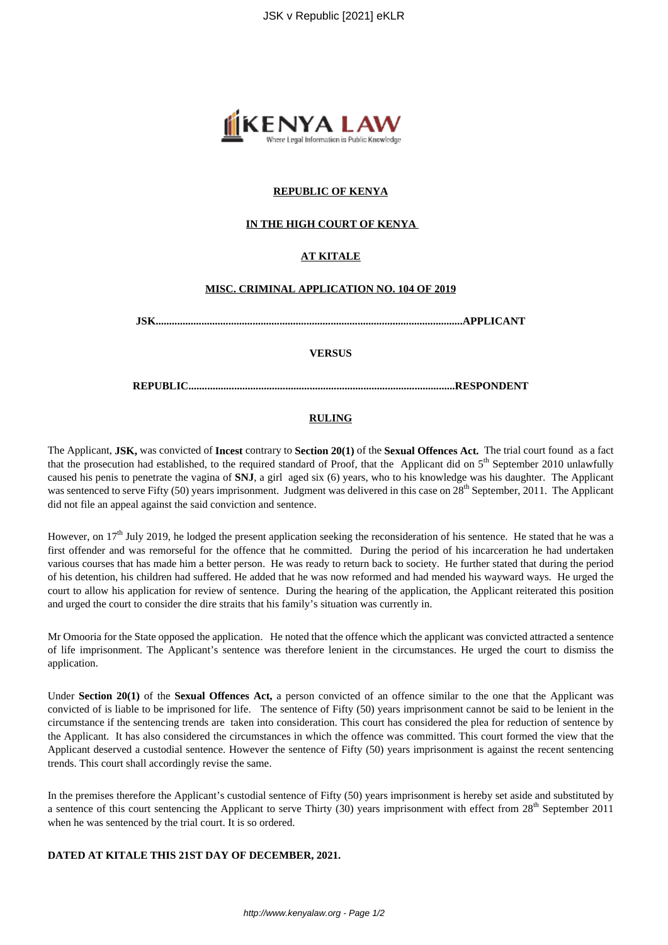

### **REPUBLIC OF KENYA**

### **IN THE HIGH COURT OF KENYA**

## **AT KITALE**

### **MISC. CRIMINAL APPLICATION NO. 104 OF 2019**

**JSK..................................................................................................................APPLICANT**

#### **VERSUS**

**REPUBLIC...................................................................................................RESPONDENT**

#### **RULING**

The Applicant, **JSK,** was convicted of **Incest** contrary to **Section 20(1)** of the **Sexual Offences Act.** The trial court found as a fact that the prosecution had established, to the required standard of Proof, that the Applicant did on  $5<sup>th</sup>$  September 2010 unlawfully caused his penis to penetrate the vagina of **SNJ**, a girl aged six (6) years, who to his knowledge was his daughter. The Applicant was sentenced to serve Fifty (50) years imprisonment. Judgment was delivered in this case on 28<sup>th</sup> September, 2011. The Applicant did not file an appeal against the said conviction and sentence.

However, on 17<sup>th</sup> July 2019, he lodged the present application seeking the reconsideration of his sentence. He stated that he was a first offender and was remorseful for the offence that he committed. During the period of his incarceration he had undertaken various courses that has made him a better person. He was ready to return back to society. He further stated that during the period of his detention, his children had suffered. He added that he was now reformed and had mended his wayward ways. He urged the court to allow his application for review of sentence. During the hearing of the application, the Applicant reiterated this position and urged the court to consider the dire straits that his family's situation was currently in.

Mr Omooria for the State opposed the application. He noted that the offence which the applicant was convicted attracted a sentence of life imprisonment. The Applicant's sentence was therefore lenient in the circumstances. He urged the court to dismiss the application.

Under **Section 20(1)** of the **Sexual Offences Act,** a person convicted of an offence similar to the one that the Applicant was convicted of is liable to be imprisoned for life. The sentence of Fifty (50) years imprisonment cannot be said to be lenient in the circumstance if the sentencing trends are taken into consideration. This court has considered the plea for reduction of sentence by the Applicant. It has also considered the circumstances in which the offence was committed. This court formed the view that the Applicant deserved a custodial sentence. However the sentence of Fifty (50) years imprisonment is against the recent sentencing trends. This court shall accordingly revise the same.

In the premises therefore the Applicant's custodial sentence of Fifty (50) years imprisonment is hereby set aside and substituted by a sentence of this court sentencing the Applicant to serve Thirty (30) years imprisonment with effect from 28<sup>th</sup> September 2011 when he was sentenced by the trial court. It is so ordered.

## **DATED AT KITALE THIS 21ST DAY OF DECEMBER, 2021.**